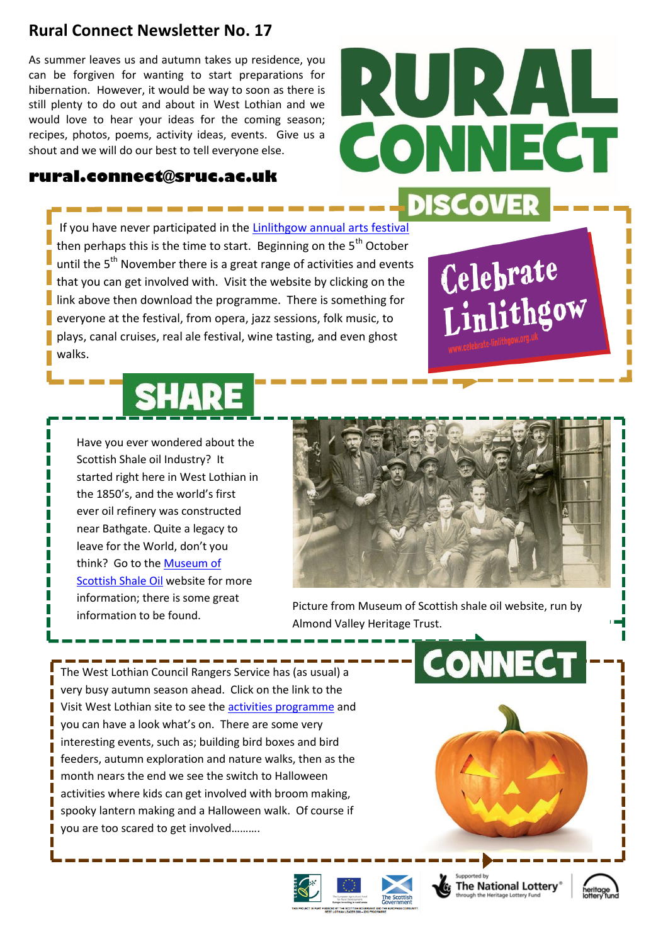## **Rural Connect Newsletter No. 17**

As summer leaves us and autumn takes up residence, you can be forgiven for wanting to start preparations for hibernation. However, it would be way to soon as there is still plenty to do out and about in West Lothian and we would love to hear your ideas for the coming season; recipes, photos, poems, activity ideas, events. Give us a shout and we will do our best to tell everyone else.

## **rural.connect@sruc.ac.uk**

If you have never participated in the [Linlithgow annual arts festival](http://www.celebrate-linlithgow.org.uk/index.html) then perhaps this is the time to start. Beginning on the  $5<sup>th</sup>$  October until the 5<sup>th</sup> November there is a great range of activities and events that you can get involved with. Visit the website by clicking on the link above then download the programme. There is something for everyone at the festival, from opera, jazz sessions, folk music, to plays, canal cruises, real ale festival, wine tasting, and even ghost walks.



Have you ever wondered about the Scottish Shale oil Industry? It started right here in West Lothian in the 1850's, and the world's first ever oil refinery was constructed near Bathgate. Quite a legacy to leave for the World, don't you think? Go to the [Museum of](http://www.scottishshale.co.uk/index.html)  [Scottish Shale Oil](http://www.scottishshale.co.uk/index.html) website for more information; there is some great information to be found.



**PAL** 

Celebrate

Linlithgow

CONNECT

Picture from Museum of Scottish shale oil website, run by Almond Valley Heritage Trust.

The West Lothian Council Rangers Service has (as usual) a very busy autumn season ahead. Click on the link to the Visit West Lothian site to see the [activities programme](http://visitwestlothian.co.uk/whats-on/nature-outdoors/year-of-natural-scotland-ranger-events/) and you can have a look what's on. There are some very interesting events, such as; building bird boxes and bird feeders, autumn exploration and nature walks, then as the month nears the end we see the switch to Halloween activities where kids can get involved with broom making, spooky lantern making and a Halloween walk. Of course if you are too scared to get involved……….







**CONNEC**